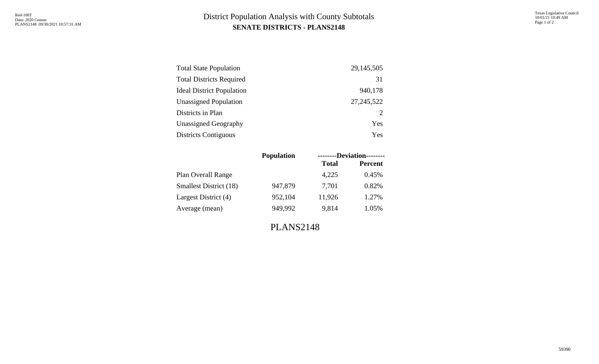## **SENATE DISTRICTS - PLANS2148** District Population Analysis with County Subtotals

| <b>Total State Population</b>    | 29, 145, 505 |
|----------------------------------|--------------|
| <b>Total Districts Required</b>  | 31           |
| <b>Ideal District Population</b> | 940,178      |
| <b>Unassigned Population</b>     | 27, 245, 522 |
| Districts in Plan                | 2            |
| <b>Unassigned Geography</b>      | Yes          |
| <b>Districts Contiguous</b>      | Yes          |

| <b>Population</b> | --------Deviation-------- |                |  |  |  |
|-------------------|---------------------------|----------------|--|--|--|
|                   | <b>Total</b>              | <b>Percent</b> |  |  |  |
|                   | 4,225                     | 0.45%          |  |  |  |
| 947,879           | 7.701                     | 0.82%          |  |  |  |
| 952,104           | 11,926                    | 1.27%          |  |  |  |
| 949,992           | 9,814                     | 1.05%          |  |  |  |
|                   |                           |                |  |  |  |

PLANS2148